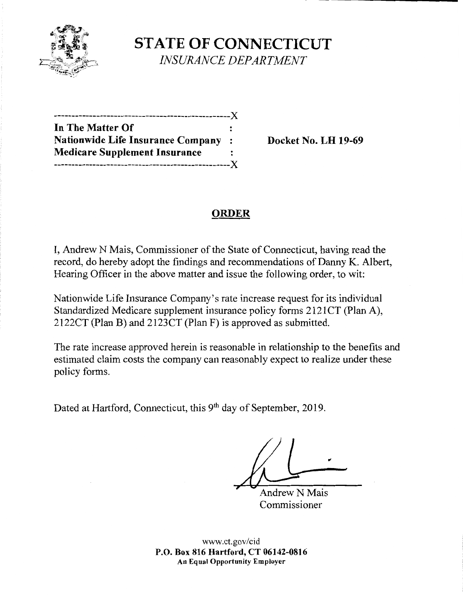

**STATE OF CONNECTICUT**  *INSURANCE DEPARTMENT* 

--------------------------------------------------)( **In The Matter Of Nationwide Life Insurance Company** : **Docket No. LH 19-69 Medicare Supplement Insurance**  --------------------------------------------------)(

# **ORDER**

I, Andrew N Mais, Commissioner of the State of Connecticut, having read the record, do hereby adopt the findings and recommendations of Danny K. Albert, Hearing Officer in the above matter and issue the following order, to wit:

Nationwide Life Insurance Company's rate increase request for its individual Standardized Medicare supplement insurance policy forms 2121CT (Plan A), 2122CT (Plan B) and 2123CT (Plan F) is approved as submitted.

The rate increase approved herein is reasonable in relationship to the benefits and estimated claim costs the company can reasonably expect to realize under these policy forms.

Dated at Hartford, Connecticut, this 9<sup>th</sup> day of September, 2019.

**Andrew N Mais** Commissioner

www.ct.gov/cid **P.O. Box 816 Hartford, CT 06142-0816 An Equal Opportunity Employer**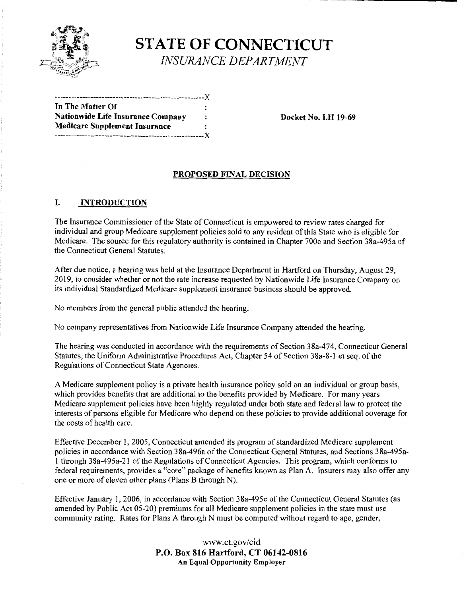

**STATE OF CONNECTICUT**  *INSURANCE DEPARTMENT* 

------------------------------------------------------)( **In The Matter Of**  Nationwide Life Insurance Company : Docket No. LH 19-69 **Medicare Supplement Insurance**  ------------------------------------------------------)(

#### **PROPOSED FINAL DECISION**

#### I. **INTRODUCTION**

The Insurance Commissioner of the State of Connecticut is empowered to review rates charged for individual and group Medicare supplement policies sold to any resident of this State who is eligible for Medicare. The source for this regulatory authority is contained in Chapter 700c and Section 38a-495a of the Connecticut General Statutes.

After due notice, a hearing was held at the Insurance Department in Hartford on Thursday, August 29, 2019, to consider whether or not the rate increase requested by Nationwide Life Insurance Company on its individual Standardized Medicare supplement insurance business should be approved.

No members from the general public attended the hearing.

No company representatives from Nationwide Life Insurance Company attended the hearing.

The hearing was conducted in accordance with the requirements of Section 38a-474, Connecticut General Statutes, the Uniform Administrative Procedures Act, Chapter 54 of Section 38a-8-l et seq. of the Regulations of Connecticut State Agencies.

A Medicare supplement policy is a private health insurance policy sold on an individual or group basis, which provides benefits that are additional to the benefits provided by Medicare. For many years Medicare supplement policies have been highly regulated under both state and federal law to protect the interests of persons eligible for Medicare who depend on these policies to provide additional coverage for the costs of health care.

Effective December I, 2005, Connecticut amended its program of standardized Medicare supplement policies in accordance with Section 38a-496a of the Connecticut General Statutes, and Sections 38a-495al through 38a-495a-21 of the Regulations of Connecticut Agencies. This program, which conforms to federal requirements, provides a "core" package of benefits known as Plan A. Insurers may also offer any one or more of eleven other plans (Plans B through N).

Effective January I, 2006, in accordance with Section 38a-495c of the Connecticut General Statutes (as amended by Public Act 05-20) premiums for all Medicare supplement policies in the state must use community rating. Rates for Plans A through N must be computed without regard to age, gender,

> www.ct.gov/cid **P.O. Box 816 Hartford, CT 06142-0816 An Equal Opportunity Employer**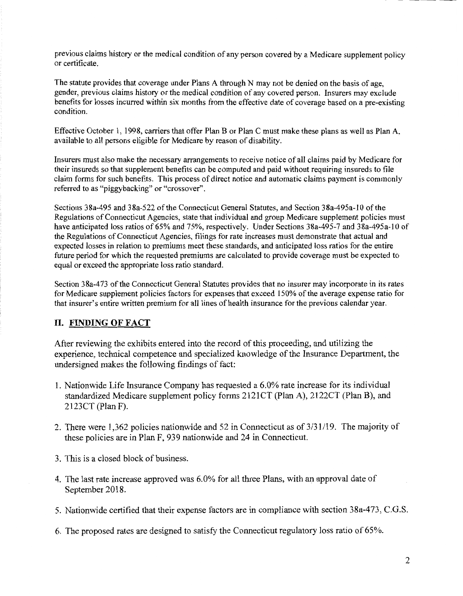previous claims history or the medical condition of any person covered by a Medicare supplement policy or certificate.

The statute provides that coverage under Plans A through N may not be denied on the basis of age, gender, previous claims history or the medical condition of any covered person. Insurers may exclude benefits for losses incurred within six months from the effective date of coverage based on a pre-existing condition.

Effective October I, 1998, carriers that offer Plan B or Plan C must make these plans as well as Plan A, available to all persons eligible for Medicare by reason of disability.

Insurers must also make the necessary arrangements to receive notice of all claims paid by Medicare for their insureds so that supplement benefits can be computed and paid without requiring insureds to file claim forms for such benefits. This process of direct notice and automatic claims payment is commonly referred to as "piggybacking" or "crossover".

Sections 38a-495 and 38a-522 of the Connecticut General Statutes, and Section 38a-495a-10 of the Regulations of Connecticut Agencies, state that individual and group Medicare supplement policies must have anticipated loss ratios of 65% and 75%, respectively. Under Sections 38a-495-7 and 38a-495a-10 of the Regulations of Connecticut Agencies, filings for rate increases must demonstrate that actual and expected losses in relation to premiums meet these standards, and anticipated loss ratios for the entire future period for which the requested premiums are calculated to provide coverage must be expected to equal or exceed the appropriate loss ratio standard.

Section 38a-473 of the Connecticut General Statutes provides that no insurer may incorporate in its rates for Medicare supplement policies factors for expenses that exceed 150% of the average expense ratio for that insurer's entire written premium for all lines of health insurance for the previous calendar year.

## **II. FINDING OF FACT**

After reviewing the exhibits entered into the record of this proceeding, and utilizing the experience, technical competence and specialized knowledge of the Insurance Department, the undersigned makes the following findings of fact:

- 1. Nationwide Life Insurance Company has requested a 6.0% rate increase for its individual standardized Medicare supplement policy forms 2121CT (Plan A), 2122CT (Plan B), and 2123CT (Plan F).
- 2. There were 1,362 policies nationwide and 52 in Connecticut as of  $3/31/19$ . The majority of these policies are in Plan F, 939 nationwide and 24 in Connecticut.
- 3. This is a closed block of business.
- 4. The last rate increase approved was 6.0% for all three Plans, with an approval date of September 2018.
- 5. Nationwide certified that their expense factors are in compliance with section 38a-473, C.G.S.
- 6. The proposed rates are designed to satisfy the Connecticut regulatory loss ratio of 65%.